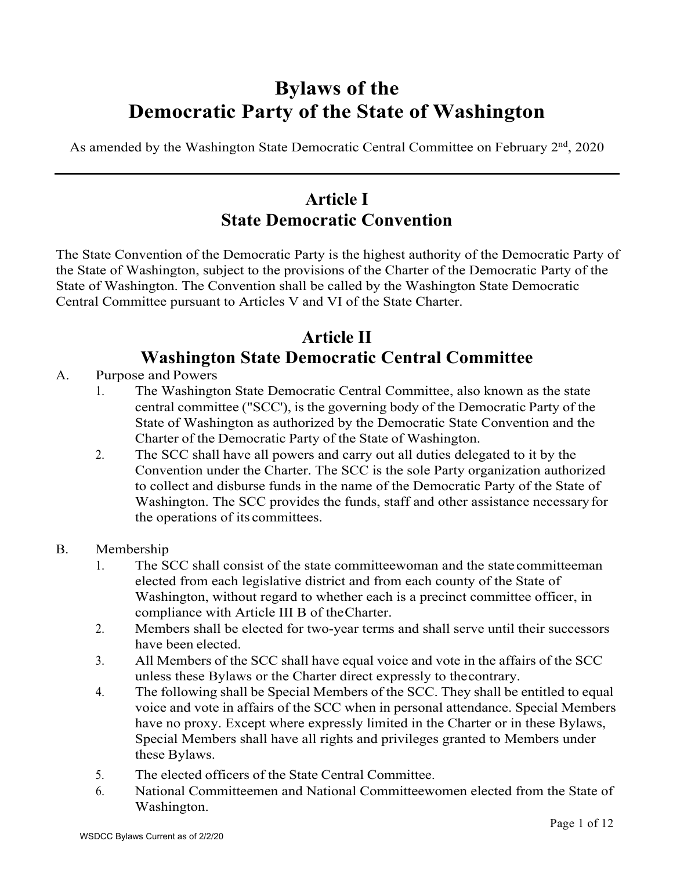# **Bylaws of the Democratic Party of the State of Washington**

As amended by the Washington State Democratic Central Committee on February  $2<sup>nd</sup>$ , 2020

# **Article I State Democratic Convention**

The State Convention of the Democratic Party is the highest authority of the Democratic Party of the State of Washington, subject to the provisions of the Charter of the Democratic Party of the State of Washington. The Convention shall be called by the Washington State Democratic Central Committee pursuant to Articles V and VI of the State Charter.

# **Article II Washington State Democratic Central Committee**

- A. Purpose and Powers
	- 1. The Washington State Democratic Central Committee, also known as the state central committee ("SCC'), is the governing body of the Democratic Party of the State of Washington as authorized by the Democratic State Convention and the Charter of the Democratic Party of the State of Washington.
	- 2. The SCC shall have all powers and carry out all duties delegated to it by the Convention under the Charter. The SCC is the sole Party organization authorized to collect and disburse funds in the name of the Democratic Party of the State of Washington. The SCC provides the funds, staff and other assistance necessaryfor the operations of its committees.
- B. Membership
	- 1. The SCC shall consist of the state committeewoman and the state committeeman elected from each legislative district and from each county of the State of Washington, without regard to whether each is a precinct committee officer, in compliance with Article III B of theCharter.
	- 2. Members shall be elected for two-year terms and shall serve until their successors have been elected.
	- 3. All Members of the SCC shall have equal voice and vote in the affairs of the SCC unless these Bylaws or the Charter direct expressly to thecontrary.
	- 4. The following shall be Special Members of the SCC. They shall be entitled to equal voice and vote in affairs of the SCC when in personal attendance. Special Members have no proxy. Except where expressly limited in the Charter or in these Bylaws, Special Members shall have all rights and privileges granted to Members under these Bylaws.
	- 5. The elected officers of the State Central Committee.
	- 6. National Committeemen and National Committeewomen elected from the State of Washington.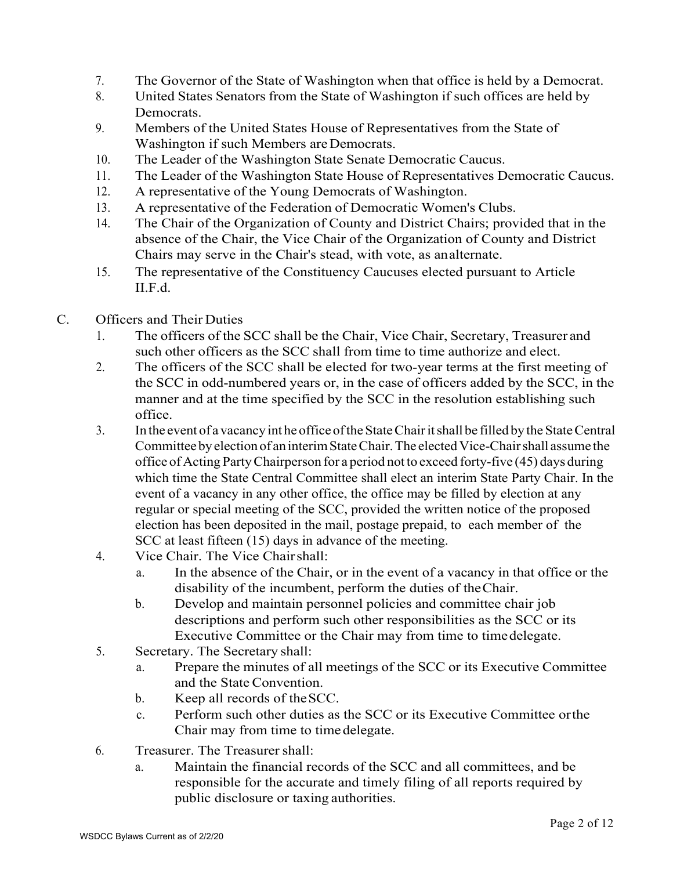- 7. The Governor of the State of Washington when that office is held by a Democrat.
- 8. United States Senators from the State of Washington if such offices are held by Democrats.
- 9. Members of the United States House of Representatives from the State of Washington if such Members are Democrats.
- 10. The Leader of the Washington State Senate Democratic Caucus.
- 11. The Leader of the Washington State House of Representatives Democratic Caucus.
- 12. A representative of the Young Democrats of Washington.
- 13. A representative of the Federation of Democratic Women's Clubs.
- 14. The Chair of the Organization of County and District Chairs; provided that in the absence of the Chair, the Vice Chair of the Organization of County and District Chairs may serve in the Chair's stead, with vote, as analternate.
- 15. The representative of the Constituency Caucuses elected pursuant to Article II.F.d.
- C. Officers and Their Duties
	- 1. The officers of the SCC shall be the Chair, Vice Chair, Secretary, Treasurer and such other officers as the SCC shall from time to time authorize and elect.
	- 2. The officers of the SCC shall be elected for two-year terms at the first meeting of the SCC in odd-numbered years or, in the case of officers added by the SCC, in the manner and at the time specified by the SCC in the resolution establishing such office.
	- 3. In the event of a vacancy int he office of the State Chair it shall be filled by the State Central Committee by election of an interim State Chair. The elected Vice-Chair shall assume the office of Acting Party Chairperson for a period not to exceed forty-five (45) days during which time the State Central Committee shall elect an interim State Party Chair. In the event of a vacancy in any other office, the office may be filled by election at any regular or special meeting of the SCC, provided the written notice of the proposed election has been deposited in the mail, postage prepaid, to each member of the SCC at least fifteen (15) days in advance of the meeting.
	- 4. Vice Chair. The Vice Chairshall:
		- a. In the absence of the Chair, or in the event of a vacancy in that office or the disability of the incumbent, perform the duties of theChair.
		- b. Develop and maintain personnel policies and committee chair job descriptions and perform such other responsibilities as the SCC or its Executive Committee or the Chair may from time to timedelegate.
	- 5. Secretary. The Secretary shall:
		- a. Prepare the minutes of all meetings of the SCC or its Executive Committee and the State Convention.
		- b. Keep all records of theSCC.
		- c. Perform such other duties as the SCC or its Executive Committee orthe Chair may from time to timedelegate.
	- 6. Treasurer. The Treasurershall:
		- a. Maintain the financial records of the SCC and all committees, and be responsible for the accurate and timely filing of all reports required by public disclosure or taxing authorities.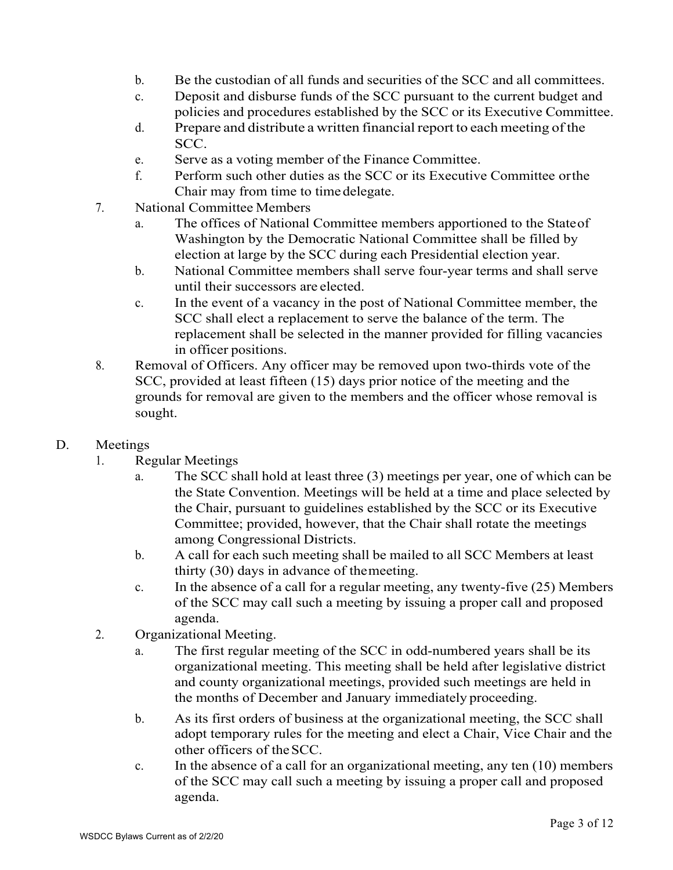- b. Be the custodian of all funds and securities of the SCC and all committees.
- c. Deposit and disburse funds of the SCC pursuant to the current budget and policies and procedures established by the SCC or its Executive Committee.
- d. Prepare and distribute a written financial report to each meeting of the SCC.
- e. Serve as a voting member of the Finance Committee.
- f. Perform such other duties as the SCC or its Executive Committee orthe Chair may from time to time delegate.
- 7. National Committee Members
	- a. The offices of National Committee members apportioned to the Stateof Washington by the Democratic National Committee shall be filled by election at large by the SCC during each Presidential election year.
	- b. National Committee members shall serve four-year terms and shall serve until their successors are elected.
	- c. In the event of a vacancy in the post of National Committee member, the SCC shall elect a replacement to serve the balance of the term. The replacement shall be selected in the manner provided for filling vacancies in officer positions.
- 8. Removal of Officers. Any officer may be removed upon two-thirds vote of the SCC, provided at least fifteen (15) days prior notice of the meeting and the grounds for removal are given to the members and the officer whose removal is sought.
- D. Meetings
	- 1. Regular Meetings
		- a. The SCC shall hold at least three (3) meetings per year, one of which can be the State Convention. Meetings will be held at a time and place selected by the Chair, pursuant to guidelines established by the SCC or its Executive Committee; provided, however, that the Chair shall rotate the meetings among Congressional Districts.
		- b. A call for each such meeting shall be mailed to all SCC Members at least thirty (30) days in advance of themeeting.
		- c. In the absence of a call for a regular meeting, any twenty-five (25) Members of the SCC may call such a meeting by issuing a proper call and proposed agenda.
	- 2. Organizational Meeting.
		- a. The first regular meeting of the SCC in odd-numbered years shall be its organizational meeting. This meeting shall be held after legislative district and county organizational meetings, provided such meetings are held in the months of December and January immediately proceeding.
		- b. As its first orders of business at the organizational meeting, the SCC shall adopt temporary rules for the meeting and elect a Chair, Vice Chair and the other officers of theSCC.
		- c. In the absence of a call for an organizational meeting, any ten (10) members of the SCC may call such a meeting by issuing a proper call and proposed agenda.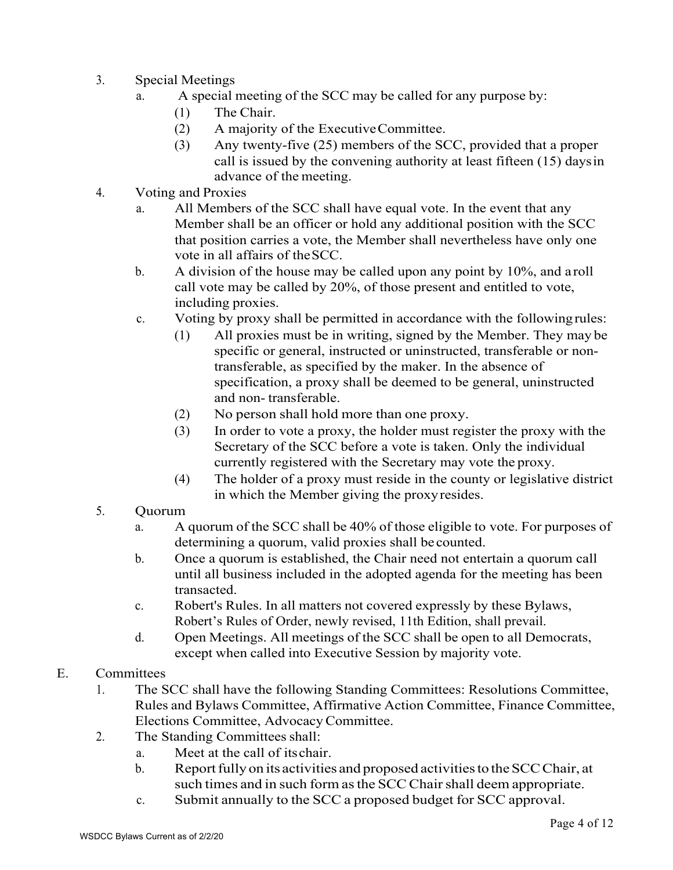- 3. Special Meetings
	- a. A special meeting of the SCC may be called for any purpose by:
		- (1) The Chair.
		- (2) A majority of the ExecutiveCommittee.
		- (3) Any twenty-five (25) members of the SCC, provided that a proper call is issued by the convening authority at least fifteen (15) daysin advance of the meeting.
- 4. Voting and Proxies
	- a. All Members of the SCC shall have equal vote. In the event that any Member shall be an officer or hold any additional position with the SCC that position carries a vote, the Member shall nevertheless have only one vote in all affairs of theSCC.
	- b. A division of the house may be called upon any point by  $10\%$ , and a roll call vote may be called by 20%, of those present and entitled to vote, including proxies.
	- c. Voting by proxy shall be permitted in accordance with the followingrules:
		- (1) All proxies must be in writing, signed by the Member. They may be specific or general, instructed or uninstructed, transferable or nontransferable, as specified by the maker. In the absence of specification, a proxy shall be deemed to be general, uninstructed and non- transferable.
		- (2) No person shall hold more than one proxy.
		- (3) In order to vote a proxy, the holder must register the proxy with the Secretary of the SCC before a vote is taken. Only the individual currently registered with the Secretary may vote the proxy.
		- (4) The holder of a proxy must reside in the county or legislative district in which the Member giving the proxyresides.
- 5. Quorum
	- a. A quorum of the SCC shall be 40% of those eligible to vote. For purposes of determining a quorum, valid proxies shall be counted.
	- b. Once a quorum is established, the Chair need not entertain a quorum call until all business included in the adopted agenda for the meeting has been transacted.
	- c. Robert's Rules. In all matters not covered expressly by these Bylaws, Robert's Rules of Order, newly revised, 11th Edition, shall prevail.
	- d. Open Meetings. All meetings of the SCC shall be open to all Democrats, except when called into Executive Session by majority vote.

#### E. Committees

- 1. The SCC shall have the following Standing Committees: Resolutions Committee, Rules and Bylaws Committee, Affirmative Action Committee, Finance Committee, Elections Committee, AdvocacyCommittee.
- 2. The Standing Committees shall:
	- a. Meet at the call of itschair.
	- b. Report fully on its activities and proposed activities to the SCC Chair, at such times and in such form as the SCC Chair shall deem appropriate.
	- c. Submit annually to the SCC a proposed budget for SCC approval.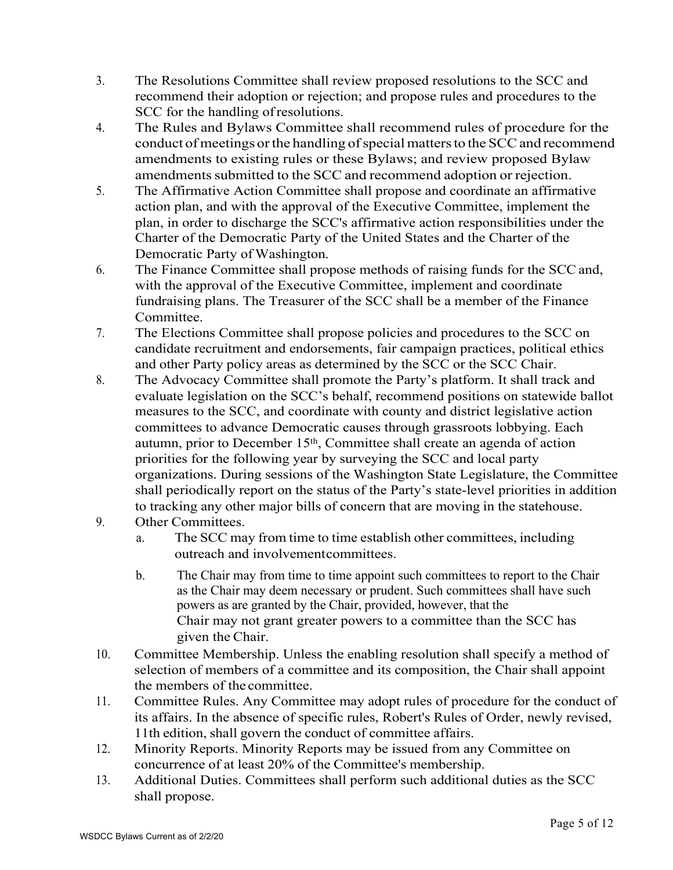- 3. The Resolutions Committee shall review proposed resolutions to the SCC and recommend their adoption or rejection; and propose rules and procedures to the SCC for the handling ofresolutions.
- 4. The Rules and Bylaws Committee shall recommend rules of procedure for the conduct of meetings or the handling of special matters to the SCC and recommend amendments to existing rules or these Bylaws; and review proposed Bylaw amendments submitted to the SCC and recommend adoption or rejection.
- 5. The Affirmative Action Committee shall propose and coordinate an affirmative action plan, and with the approval of the Executive Committee, implement the plan, in order to discharge the SCC's affirmative action responsibilities under the Charter of the Democratic Party of the United States and the Charter of the Democratic Party of Washington.
- 6. The Finance Committee shall propose methods of raising funds for the SCCand, with the approval of the Executive Committee, implement and coordinate fundraising plans. The Treasurer of the SCC shall be a member of the Finance Committee.
- 7. The Elections Committee shall propose policies and procedures to the SCC on candidate recruitment and endorsements, fair campaign practices, political ethics and other Party policy areas as determined by the SCC or the SCC Chair.
- 8. The Advocacy Committee shall promote the Party's platform. It shall track and evaluate legislation on the SCC's behalf, recommend positions on statewide ballot measures to the SCC, and coordinate with county and district legislative action committees to advance Democratic causes through grassroots lobbying. Each autumn, prior to December 15th, Committee shall create an agenda of action priorities for the following year by surveying the SCC and local party organizations. During sessions of the Washington State Legislature, the Committee shall periodically report on the status of the Party's state-level priorities in addition to tracking any other major bills of concern that are moving in the statehouse.
- 9. Other Committees.
	- a. The SCC may from time to time establish other committees, including outreach and involvementcommittees.
	- b. The Chair may from time to time appoint such committees to report to the Chair as the Chair may deem necessary or prudent. Such committees shall have such powers as are granted by the Chair, provided, however, that the Chair may not grant greater powers to a committee than the SCC has given the Chair.
- 10. Committee Membership. Unless the enabling resolution shall specify a method of selection of members of a committee and its composition, the Chair shall appoint the members of the committee.
- 11. Committee Rules. Any Committee may adopt rules of procedure for the conduct of its affairs. In the absence of specific rules, Robert's Rules of Order, newly revised, 11th edition, shall govern the conduct of committee affairs.
- 12. Minority Reports. Minority Reports may be issued from any Committee on concurrence of at least 20% of the Committee's membership.
- 13. Additional Duties. Committees shall perform such additional duties as the SCC shall propose.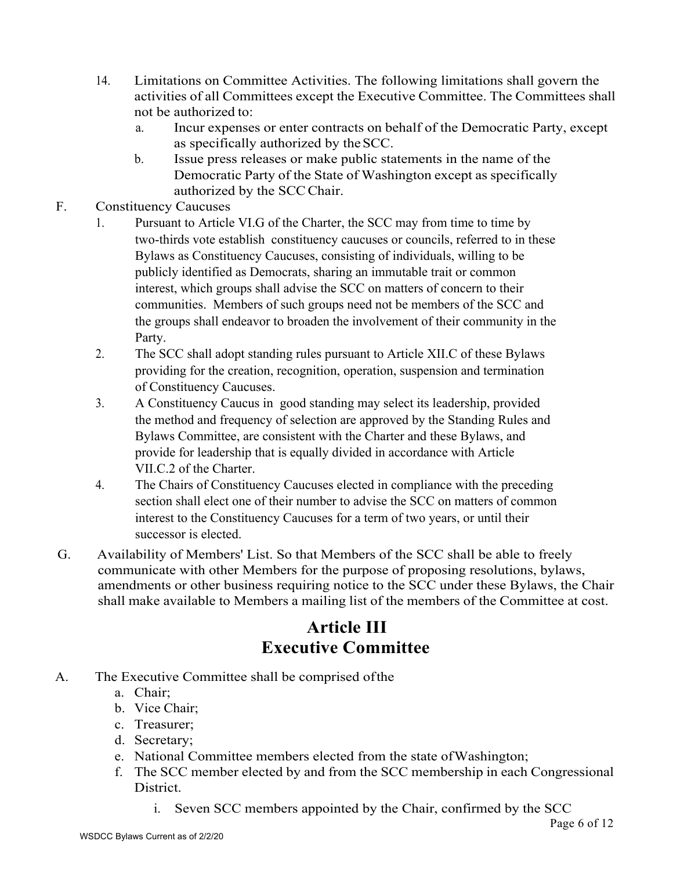- 14. Limitations on Committee Activities. The following limitations shall govern the activities of all Committees except the Executive Committee. The Committees shall not be authorized to:
	- a. Incur expenses or enter contracts on behalf of the Democratic Party, except as specifically authorized by theSCC.
	- b. Issue press releases or make public statements in the name of the Democratic Party of the State of Washington except as specifically authorized by the SCCChair.
- F. Constituency Caucuses
	- 1. Pursuant to Article VI.G of the Charter, the SCC may from time to time by two-thirds vote establish constituency caucuses or councils, referred to in these Bylaws as Constituency Caucuses, consisting of individuals, willing to be publicly identified as Democrats, sharing an immutable trait or common interest, which groups shall advise the SCC on matters of concern to their communities. Members of such groups need not be members of the SCC and the groups shall endeavor to broaden the involvement of their community in the Party.
	- 2. The SCC shall adopt standing rules pursuant to Article XII.C of these Bylaws providing for the creation, recognition, operation, suspension and termination of Constituency Caucuses.
	- 3. A Constituency Caucus in good standing may select its leadership, provided the method and frequency of selection are approved by the Standing Rules and Bylaws Committee, are consistent with the Charter and these Bylaws, and provide for leadership that is equally divided in accordance with Article VII.C.2 of the Charter.
	- 4. The Chairs of Constituency Caucuses elected in compliance with the preceding section shall elect one of their number to advise the SCC on matters of common interest to the Constituency Caucuses for a term of two years, or until their successor is elected.
- G. Availability of Members' List. So that Members of the SCC shall be able to freely communicate with other Members for the purpose of proposing resolutions, bylaws, amendments or other business requiring notice to the SCC under these Bylaws, the Chair shall make available to Members a mailing list of the members of the Committee at cost.

# **Article III Executive Committee**

- A. The Executive Committee shall be comprised ofthe
	- a. Chair;
	- b. Vice Chair;
	- c. Treasurer;
	- d. Secretary;
	- e. National Committee members elected from the state ofWashington;
	- f. The SCC member elected by and from the SCC membership in each Congressional District.
		- i. Seven SCC members appointed by the Chair, confirmed by the SCC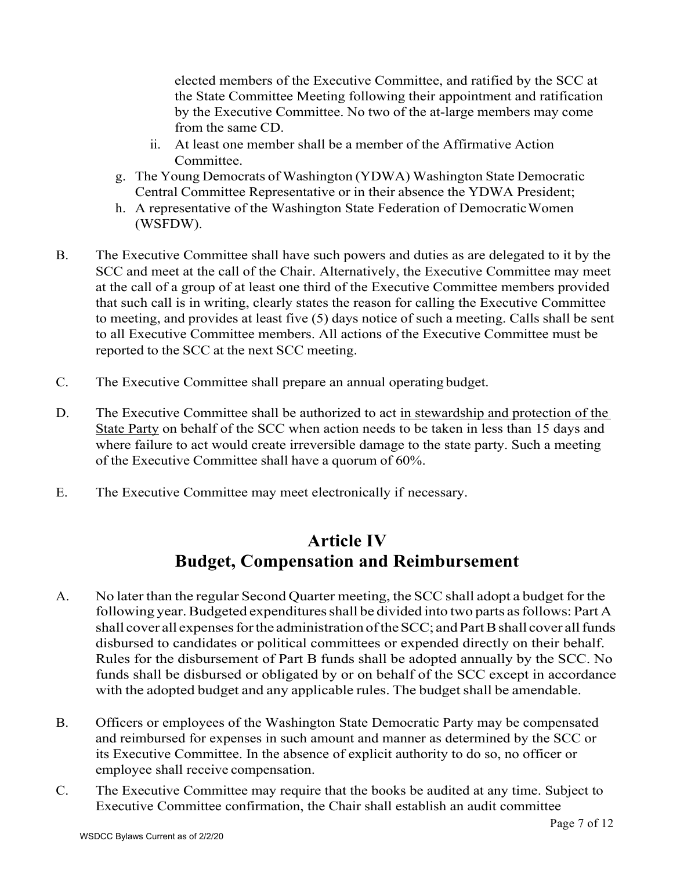elected members of the Executive Committee, and ratified by the SCC at the State Committee Meeting following their appointment and ratification by the Executive Committee. No two of the at-large members may come from the same CD.

- ii. At least one member shall be a member of the Affirmative Action Committee.
- g. The Young Democrats of Washington (YDWA) Washington State Democratic Central Committee Representative or in their absence the YDWA President;
- h. A representative of the Washington State Federation of DemocraticWomen (WSFDW).
- B. The Executive Committee shall have such powers and duties as are delegated to it by the SCC and meet at the call of the Chair. Alternatively, the Executive Committee may meet at the call of a group of at least one third of the Executive Committee members provided that such call is in writing, clearly states the reason for calling the Executive Committee to meeting, and provides at least five (5) days notice of such a meeting. Calls shall be sent to all Executive Committee members. All actions of the Executive Committee must be reported to the SCC at the next SCC meeting.
- C. The Executive Committee shall prepare an annual operating budget.
- D. The Executive Committee shall be authorized to act in stewardship and protection of the State Party on behalf of the SCC when action needs to be taken in less than 15 days and where failure to act would create irreversible damage to the state party. Such a meeting of the Executive Committee shall have a quorum of 60%.
- E. The Executive Committee may meet electronically if necessary.

#### **Article IV Budget, Compensation and Reimbursement**

- A. No later than the regular Second Quarter meeting, the SCC shall adopt a budget for the following year. Budgeted expenditures shall be divided into two parts as follows: Part A shall cover all expenses for the administration of the SCC; and Part B shall cover all funds disbursed to candidates or political committees or expended directly on their behalf. Rules for the disbursement of Part B funds shall be adopted annually by the SCC. No funds shall be disbursed or obligated by or on behalf of the SCC except in accordance with the adopted budget and any applicable rules. The budget shall be amendable.
- B. Officers or employees of the Washington State Democratic Party may be compensated and reimbursed for expenses in such amount and manner as determined by the SCC or its Executive Committee. In the absence of explicit authority to do so, no officer or employee shall receive compensation.
- C. The Executive Committee may require that the books be audited at any time. Subject to Executive Committee confirmation, the Chair shall establish an audit committee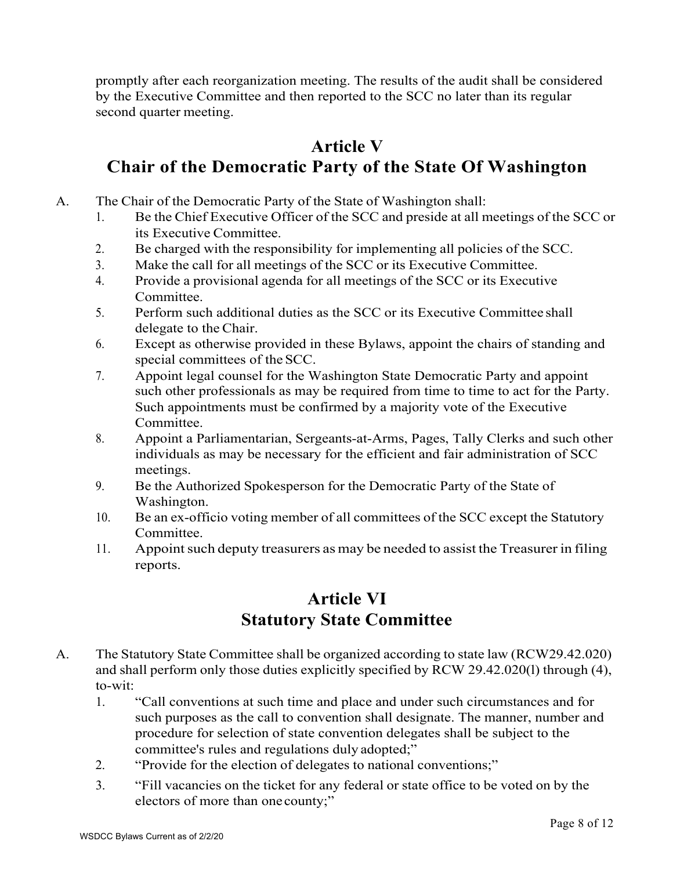promptly after each reorganization meeting. The results of the audit shall be considered by the Executive Committee and then reported to the SCC no later than its regular second quarter meeting.

#### **Article V Chair of the Democratic Party of the State Of Washington**

- A. The Chair of the Democratic Party of the State of Washington shall:
	- 1. Be the Chief Executive Officer of the SCC and preside at all meetings of the SCC or its Executive Committee.
	- 2. Be charged with the responsibility for implementing all policies of the SCC.
	- 3. Make the call for all meetings of the SCC or its Executive Committee.
	- 4. Provide a provisional agenda for all meetings of the SCC or its Executive Committee.
	- 5. Perform such additional duties as the SCC or its Executive Committee shall delegate to the Chair.
	- 6. Except as otherwise provided in these Bylaws, appoint the chairs of standing and special committees of the SCC.
	- 7. Appoint legal counsel for the Washington State Democratic Party and appoint such other professionals as may be required from time to time to act for the Party. Such appointments must be confirmed by a majority vote of the Executive Committee.
	- 8. Appoint a Parliamentarian, Sergeants-at-Arms, Pages, Tally Clerks and such other individuals as may be necessary for the efficient and fair administration of SCC meetings.
	- 9. Be the Authorized Spokesperson for the Democratic Party of the State of Washington.
	- 10. Be an ex-officio voting member of all committees of the SCC except the Statutory Committee.
	- 11. Appoint such deputy treasurers as may be needed to assist the Treasurer in filing reports.

#### **Article VI Statutory State Committee**

- A. The Statutory State Committee shall be organized according to state law (RCW29.42.020) and shall perform only those duties explicitly specified by RCW 29.42.020(l) through (4), to-wit:
	- 1. "Call conventions at such time and place and under such circumstances and for such purposes as the call to convention shall designate. The manner, number and procedure for selection of state convention delegates shall be subject to the committee's rules and regulations duly adopted;"
	- 2. "Provide for the election of delegates to national conventions;"
	- 3. "Fill vacancies on the ticket for any federal or state office to be voted on by the electors of more than one county;"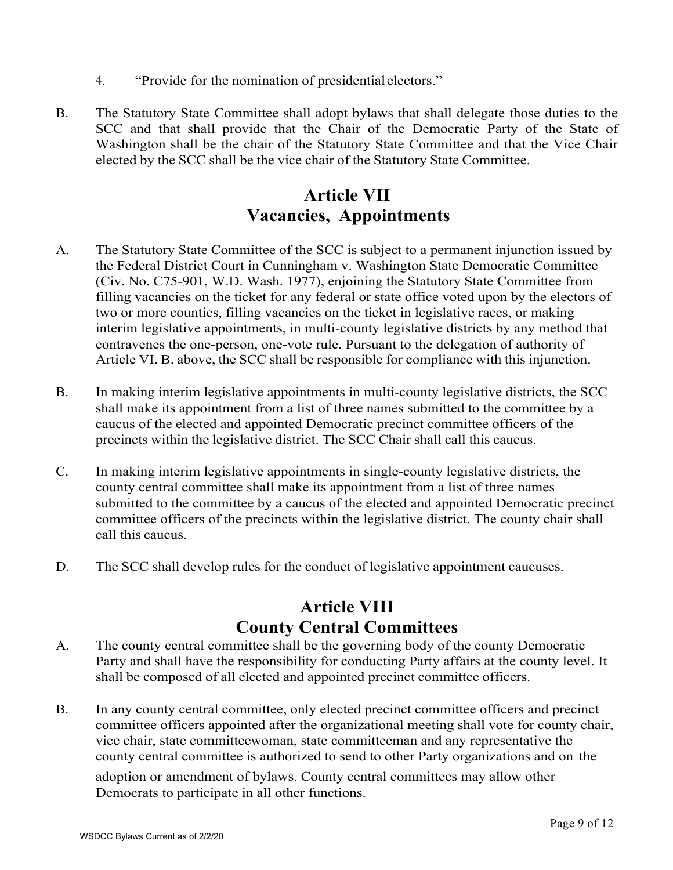- 4. "Provide for the nomination of presidential electors."
- B. The Statutory State Committee shall adopt bylaws that shall delegate those duties to the SCC and that shall provide that the Chair of the Democratic Party of the State of Washington shall be the chair of the Statutory State Committee and that the Vice Chair elected by the SCC shall be the vice chair of the Statutory State Committee.

#### **Article VII Vacancies, Appointments**

- A. The Statutory State Committee of the SCC is subject to a permanent injunction issued by the Federal District Court in Cunningham v. Washington State Democratic Committee (Civ. No. C75-901, W.D. Wash. 1977), enjoining the Statutory State Committee from filling vacancies on the ticket for any federal or state office voted upon by the electors of two or more counties, filling vacancies on the ticket in legislative races, or making interim legislative appointments, in multi-county legislative districts by any method that contravenes the one-person, one-vote rule. Pursuant to the delegation of authority of Article VI. B. above, the SCC shall be responsible for compliance with this injunction.
- B. In making interim legislative appointments in multi-county legislative districts, the SCC shall make its appointment from a list of three names submitted to the committee by a caucus of the elected and appointed Democratic precinct committee officers of the precincts within the legislative district. The SCC Chair shall call this caucus.
- C. In making interim legislative appointments in single-county legislative districts, the county central committee shall make its appointment from a list of three names submitted to the committee by a caucus of the elected and appointed Democratic precinct committee officers of the precincts within the legislative district. The county chair shall call this caucus.
- D. The SCC shall develop rules for the conduct of legislative appointment caucuses.

#### **Article VIII County Central Committees**

- A. The county central committee shall be the governing body of the county Democratic Party and shall have the responsibility for conducting Party affairs at the county level. It shall be composed of all elected and appointed precinct committee officers.
- B. In any county central committee, only elected precinct committee officers and precinct committee officers appointed after the organizational meeting shall vote for county chair, vice chair, state committeewoman, state committeeman and any representative the county central committee is authorized to send to other Party organizations and on the

adoption or amendment of bylaws. County central committees may allow other Democrats to participate in all other functions.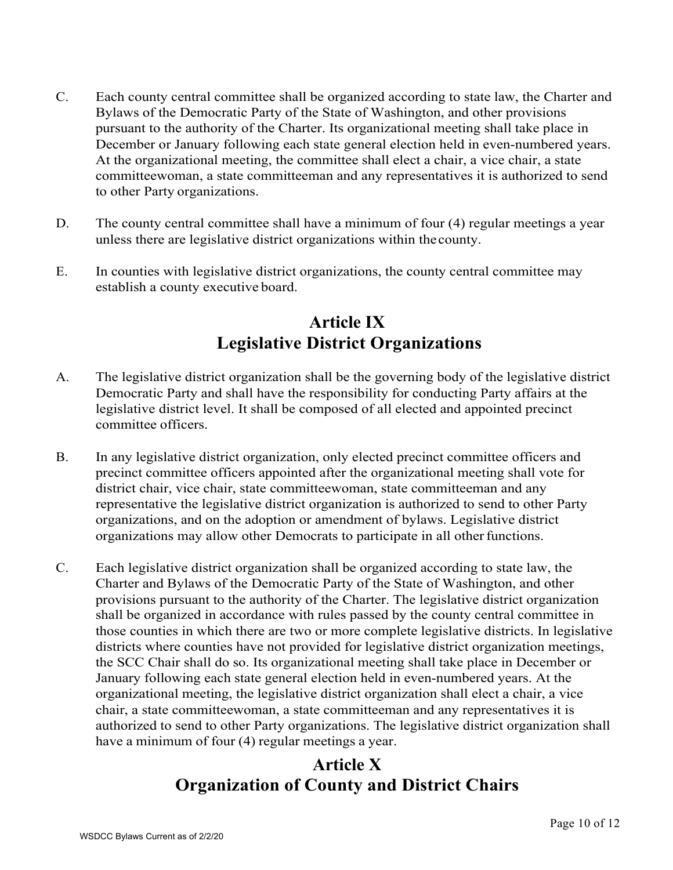- C. Each county central committee shall be organized according to state law, the Charter and Bylaws of the Democratic Party of the State of Washington, and other provisions pursuant to the authority of the Charter. Its organizational meeting shall take place in December or January following each state general election held in even-numbered years. At the organizational meeting, the committee shall elect a chair, a vice chair, a state committeewoman, a state committeeman and any representatives it is authorized to send to other Party organizations.
- D. The county central committee shall have a minimum of four (4) regular meetings a year unless there are legislative district organizations within the county.
- E. In counties with legislative district organizations, the county central committee may establish a county executive board.

### **Article IX Legislative District Organizations**

- A. The legislative district organization shall be the governing body of the legislative district Democratic Party and shall have the responsibility for conducting Party affairs at the legislative district level. It shall be composed of all elected and appointed precinct committee officers.
- B. In any legislative district organization, only elected precinct committee officers and precinct committee officers appointed after the organizational meeting shall vote for district chair, vice chair, state committeewoman, state committeeman and any representative the legislative district organization is authorized to send to other Party organizations, and on the adoption or amendment of bylaws. Legislative district organizations may allow other Democrats to participate in all other functions.
- C. Each legislative district organization shall be organized according to state law, the Charter and Bylaws of the Democratic Party of the State of Washington, and other provisions pursuant to the authority of the Charter. The legislative district organization shall be organized in accordance with rules passed by the county central committee in those counties in which there are two or more complete legislative districts. In legislative districts where counties have not provided for legislative district organization meetings, the SCC Chair shall do so. Its organizational meeting shall take place in December or January following each state general election held in even-numbered years. At the organizational meeting, the legislative district organization shall elect a chair, a vice chair, a state committeewoman, a state committeeman and any representatives it is authorized to send to other Party organizations. The legislative district organization shall have a minimum of four (4) regular meetings a year.

# **Article X Organization of County and District Chairs**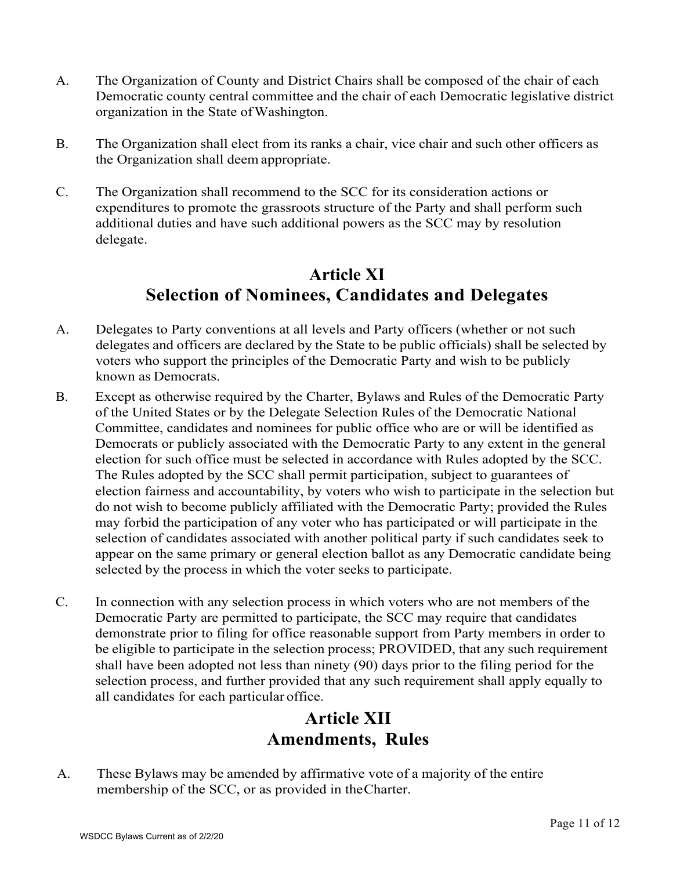- A. The Organization of County and District Chairs shall be composed of the chair of each Democratic county central committee and the chair of each Democratic legislative district organization in the State ofWashington.
- B. The Organization shall elect from its ranks a chair, vice chair and such other officers as the Organization shall deem appropriate.
- C. The Organization shall recommend to the SCC for its consideration actions or expenditures to promote the grassroots structure of the Party and shall perform such additional duties and have such additional powers as the SCC may by resolution delegate.

# **Article XI Selection of Nominees, Candidates and Delegates**

- A. Delegates to Party conventions at all levels and Party officers (whether or not such delegates and officers are declared by the State to be public officials) shall be selected by voters who support the principles of the Democratic Party and wish to be publicly known as Democrats.
- B. Except as otherwise required by the Charter, Bylaws and Rules of the Democratic Party of the United States or by the Delegate Selection Rules of the Democratic National Committee, candidates and nominees for public office who are or will be identified as Democrats or publicly associated with the Democratic Party to any extent in the general election for such office must be selected in accordance with Rules adopted by the SCC. The Rules adopted by the SCC shall permit participation, subject to guarantees of election fairness and accountability, by voters who wish to participate in the selection but do not wish to become publicly affiliated with the Democratic Party; provided the Rules may forbid the participation of any voter who has participated or will participate in the selection of candidates associated with another political party if such candidates seek to appear on the same primary or general election ballot as any Democratic candidate being selected by the process in which the voter seeks to participate.
- C. In connection with any selection process in which voters who are not members of the Democratic Party are permitted to participate, the SCC may require that candidates demonstrate prior to filing for office reasonable support from Party members in order to be eligible to participate in the selection process; PROVIDED, that any such requirement shall have been adopted not less than ninety (90) days prior to the filing period for the selection process, and further provided that any such requirement shall apply equally to all candidates for each particular office.

#### **Article XII Amendments, Rules**

A. These Bylaws may be amended by affirmative vote of a majority of the entire membership of the SCC, or as provided in theCharter.